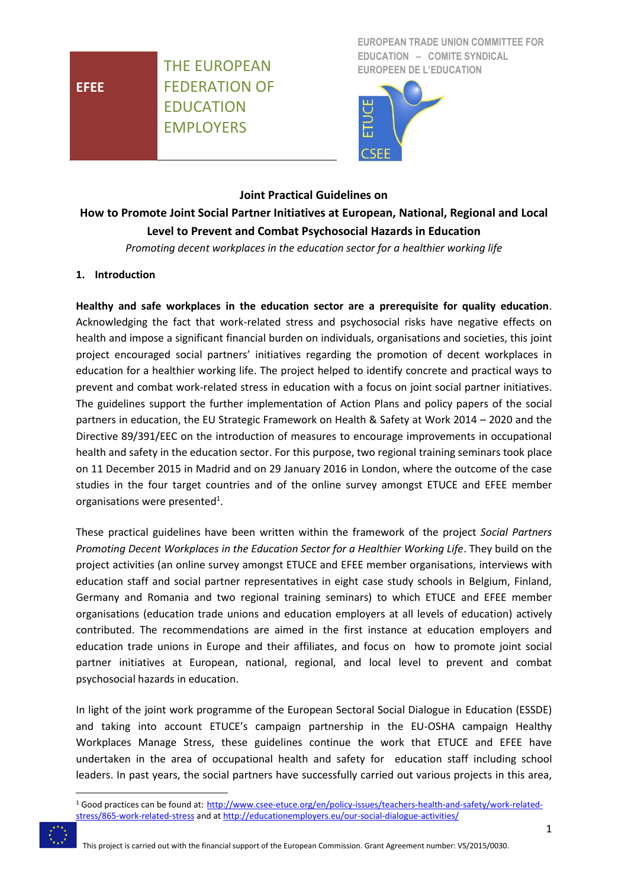**EFEE**

THE EUROPEAN FEDERATION OF EDUCATION EMPLOYERS

**EUROPEAN TRADE UNION COMMITTEE FOR EDUCATION – COMITE SYNDICAL EUROPEEN DE L'EDUCATION**



### **Joint Practical Guidelines on**

# **How to Promote Joint Social Partner Initiatives at European, National, Regional and Local Level to Prevent and Combat Psychosocial Hazards in Education**

*Promoting decent workplaces in the education sector for a healthier working life*

#### **1. Introduction**

**Healthy and safe workplaces in the education sector are a prerequisite for quality education**. Acknowledging the fact that work-related stress and psychosocial risks have negative effects on health and impose a significant financial burden on individuals, organisations and societies, this joint project encouraged social partners' initiatives regarding the promotion of decent workplaces in education for a healthier working life. The project helped to identify concrete and practical ways to prevent and combat work-related stress in education with a focus on joint social partner initiatives. The guidelines support the further implementation of Action Plans and policy papers of the social partners in education, the EU Strategic Framework on Health & Safety at Work 2014 – 2020 and the Directive 89/391/EEC on the introduction of measures to encourage improvements in occupational health and safety in the education sector. For this purpose, two regional training seminars took place on 11 December 2015 in Madrid and on 29 January 2016 in London, where the outcome of the case studies in the four target countries and of the online survey amongst ETUCE and EFEE member organisations were presented<sup>1</sup>.

These practical guidelines have been written within the framework of the project *Social Partners Promoting Decent Workplaces in the Education Sector for a Healthier Working Life*. They build on the project activities (an online survey amongst ETUCE and EFEE member organisations, interviews with education staff and social partner representatives in eight case study schools in Belgium, Finland, Germany and Romania and two regional training seminars) to which ETUCE and EFEE member organisations (education trade unions and education employers at all levels of education) actively contributed. The recommendations are aimed in the first instance at education employers and education trade unions in Europe and their affiliates, and focus on how to promote joint social partner initiatives at European, national, regional, and local level to prevent and combat psychosocial hazards in education.

In light of the joint work programme of the European Sectoral Social Dialogue in Education (ESSDE) and taking into account ETUCE's campaign partnership in the EU-OSHA campaign Healthy Workplaces Manage Stress, these guidelines continue the work that ETUCE and EFEE have undertaken in the area of occupational health and safety for education staff including school leaders. In past years, the social partners have successfully carried out various projects in this area,

<sup>1</sup> Good practices can be found at: [http://www.csee-etuce.org/en/policy-issues/teachers-health-and-safety/work-related](http://www.csee-etuce.org/en/policy-issues/teachers-health-and-safety/work-related-stress/865-work-related-stress)[stress/865-work-related-stress](http://www.csee-etuce.org/en/policy-issues/teachers-health-and-safety/work-related-stress/865-work-related-stress) and a[t http://educationemployers.eu/our-social-dialogue-activities/](http://educationemployers.eu/our-social-dialogue-activities/)



1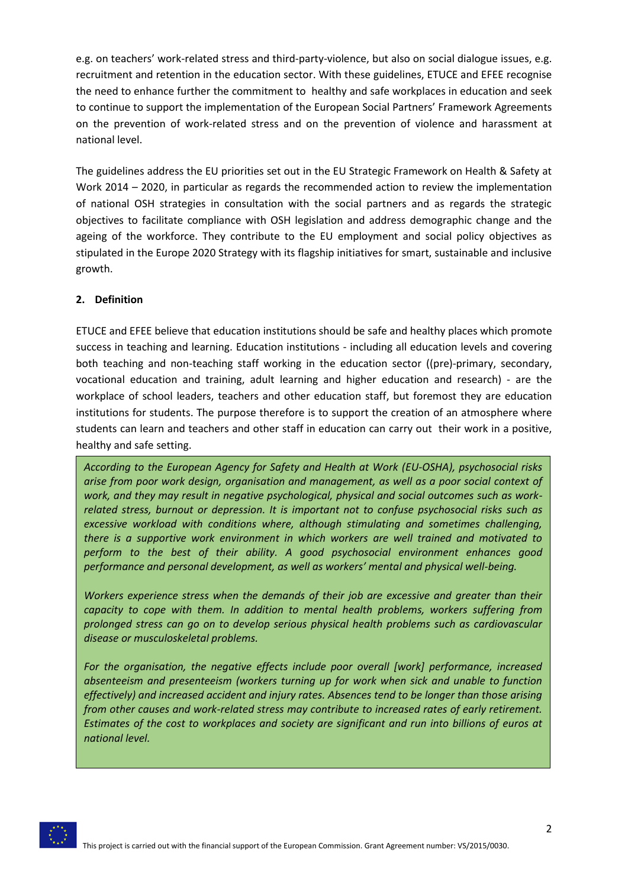e.g. on teachers' work-related stress and third-party-violence, but also on social dialogue issues, e.g. recruitment and retention in the education sector. With these guidelines, ETUCE and EFEE recognise the need to enhance further the commitment to healthy and safe workplaces in education and seek to continue to support the implementation of the European Social Partners' Framework Agreements on the prevention of work-related stress and on the prevention of violence and harassment at national level.

The guidelines address the EU priorities set out in the EU Strategic Framework on Health & Safety at Work 2014 – 2020, in particular as regards the recommended action to review the implementation of national OSH strategies in consultation with the social partners and as regards the strategic objectives to facilitate compliance with OSH legislation and address demographic change and the ageing of the workforce. They contribute to the EU employment and social policy objectives as stipulated in the Europe 2020 Strategy with its flagship initiatives for smart, sustainable and inclusive growth.

## **2. Definition**

ETUCE and EFEE believe that education institutions should be safe and healthy places which promote success in teaching and learning. Education institutions - including all education levels and covering both teaching and non-teaching staff working in the education sector ((pre)-primary, secondary, vocational education and training, adult learning and higher education and research) - are the workplace of school leaders, teachers and other education staff, but foremost they are education institutions for students. The purpose therefore is to support the creation of an atmosphere where students can learn and teachers and other staff in education can carry out their work in a positive, healthy and safe setting.

*According to the European Agency for Safety and Health at Work (EU-OSHA), psychosocial risks arise from poor work design, organisation and management, as well as a poor social context of work, and they may result in negative psychological, physical and social outcomes such as workrelated stress, burnout or depression. It is important not to confuse psychosocial risks such as excessive workload with conditions where, although stimulating and sometimes challenging, there is a supportive work environment in which workers are well trained and motivated to perform to the best of their ability. A good psychosocial environment enhances good performance and personal development, as well as workers' mental and physical well-being.*

*Workers experience stress when the demands of their job are excessive and greater than their capacity to cope with them. In addition to mental health problems, workers suffering from prolonged stress can go on to develop serious physical health problems such as cardiovascular disease or musculoskeletal problems.*

*For the organisation, the negative effects include poor overall [work] performance, increased absenteeism and presenteeism (workers turning up for work when sick and unable to function effectively) and increased accident and injury rates. Absences tend to be longer than those arising from other causes and work-related stress may contribute to increased rates of early retirement. Estimates of the cost to workplaces and society are significant and run into billions of euros at national level.*

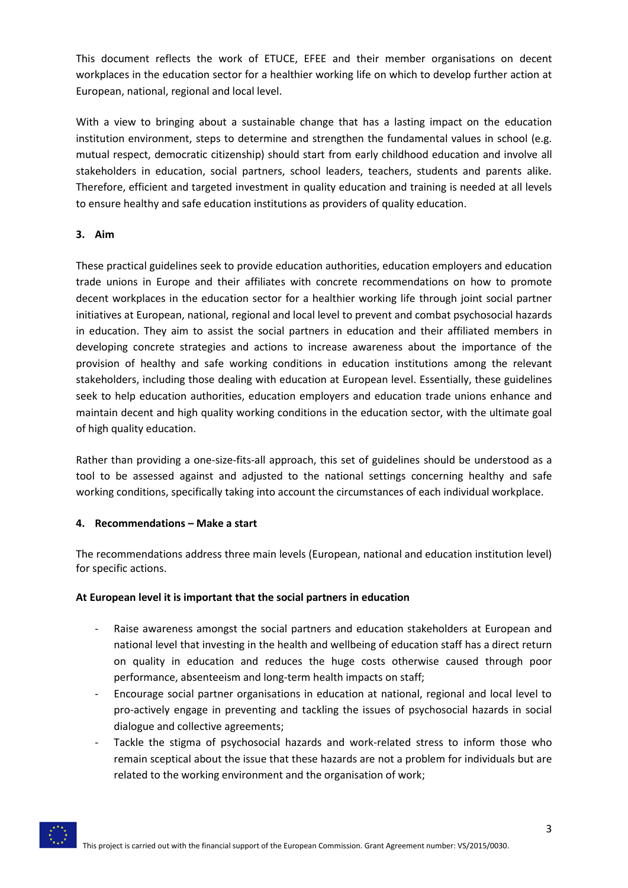This document reflects the work of ETUCE, EFEE and their member organisations on decent workplaces in the education sector for a healthier working life on which to develop further action at European, national, regional and local level.

With a view to bringing about a sustainable change that has a lasting impact on the education institution environment, steps to determine and strengthen the fundamental values in school (e.g. mutual respect, democratic citizenship) should start from early childhood education and involve all stakeholders in education, social partners, school leaders, teachers, students and parents alike. Therefore, efficient and targeted investment in quality education and training is needed at all levels to ensure healthy and safe education institutions as providers of quality education.

## **3. Aim**

These practical guidelines seek to provide education authorities, education employers and education trade unions in Europe and their affiliates with concrete recommendations on how to promote decent workplaces in the education sector for a healthier working life through joint social partner initiatives at European, national, regional and local level to prevent and combat psychosocial hazards in education. They aim to assist the social partners in education and their affiliated members in developing concrete strategies and actions to increase awareness about the importance of the provision of healthy and safe working conditions in education institutions among the relevant stakeholders, including those dealing with education at European level. Essentially, these guidelines seek to help education authorities, education employers and education trade unions enhance and maintain decent and high quality working conditions in the education sector, with the ultimate goal of high quality education.

Rather than providing a one-size-fits-all approach, this set of guidelines should be understood as a tool to be assessed against and adjusted to the national settings concerning healthy and safe working conditions, specifically taking into account the circumstances of each individual workplace.

#### **4. Recommendations – Make a start**

The recommendations address three main levels (European, national and education institution level) for specific actions.

#### **At European level it is important that the social partners in education**

- Raise awareness amongst the social partners and education stakeholders at European and national level that investing in the health and wellbeing of education staff has a direct return on quality in education and reduces the huge costs otherwise caused through poor performance, absenteeism and long-term health impacts on staff;
- Encourage social partner organisations in education at national, regional and local level to pro-actively engage in preventing and tackling the issues of psychosocial hazards in social dialogue and collective agreements;
- Tackle the stigma of psychosocial hazards and work-related stress to inform those who remain sceptical about the issue that these hazards are not a problem for individuals but are related to the working environment and the organisation of work;

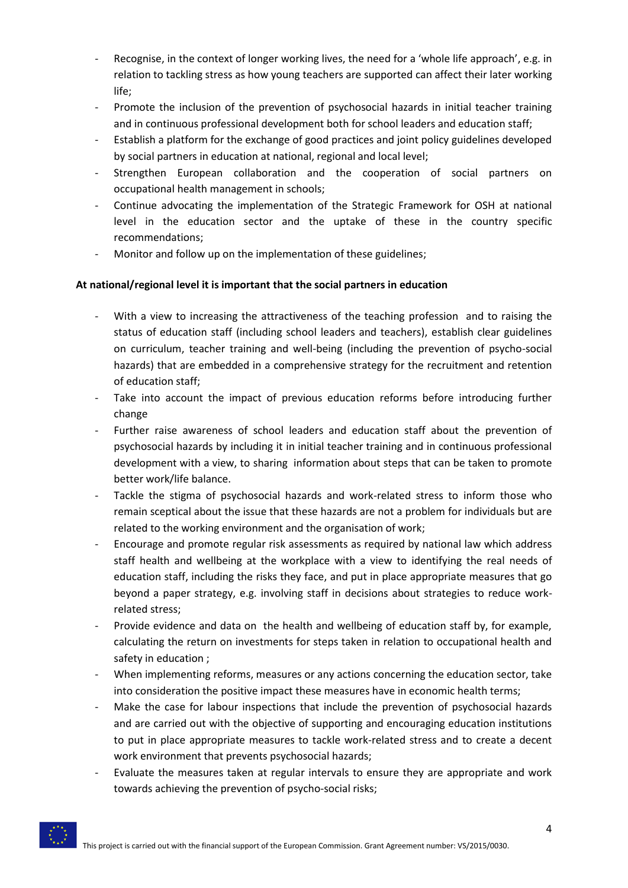- Recognise, in the context of longer working lives, the need for a 'whole life approach', e.g. in relation to tackling stress as how young teachers are supported can affect their later working life;
- Promote the inclusion of the prevention of psychosocial hazards in initial teacher training and in continuous professional development both for school leaders and education staff;
- Establish a platform for the exchange of good practices and joint policy guidelines developed by social partners in education at national, regional and local level;
- Strengthen European collaboration and the cooperation of social partners on occupational health management in schools;
- Continue advocating the implementation of the Strategic Framework for OSH at national level in the education sector and the uptake of these in the country specific recommendations;
- Monitor and follow up on the implementation of these guidelines;

## **At national/regional level it is important that the social partners in education**

- With a view to increasing the attractiveness of the teaching profession and to raising the status of education staff (including school leaders and teachers), establish clear guidelines on curriculum, teacher training and well-being (including the prevention of psycho-social hazards) that are embedded in a comprehensive strategy for the recruitment and retention of education staff;
- Take into account the impact of previous education reforms before introducing further change
- Further raise awareness of school leaders and education staff about the prevention of psychosocial hazards by including it in initial teacher training and in continuous professional development with a view, to sharing information about steps that can be taken to promote better work/life balance.
- Tackle the stigma of psychosocial hazards and work-related stress to inform those who remain sceptical about the issue that these hazards are not a problem for individuals but are related to the working environment and the organisation of work;
- Encourage and promote regular risk assessments as required by national law which address staff health and wellbeing at the workplace with a view to identifying the real needs of education staff, including the risks they face, and put in place appropriate measures that go beyond a paper strategy, e.g. involving staff in decisions about strategies to reduce workrelated stress;
- Provide evidence and data on the health and wellbeing of education staff by, for example, calculating the return on investments for steps taken in relation to occupational health and safety in education ;
- When implementing reforms, measures or any actions concerning the education sector, take into consideration the positive impact these measures have in economic health terms;
- Make the case for labour inspections that include the prevention of psychosocial hazards and are carried out with the objective of supporting and encouraging education institutions to put in place appropriate measures to tackle work-related stress and to create a decent work environment that prevents psychosocial hazards;
- Evaluate the measures taken at regular intervals to ensure they are appropriate and work towards achieving the prevention of psycho-social risks;

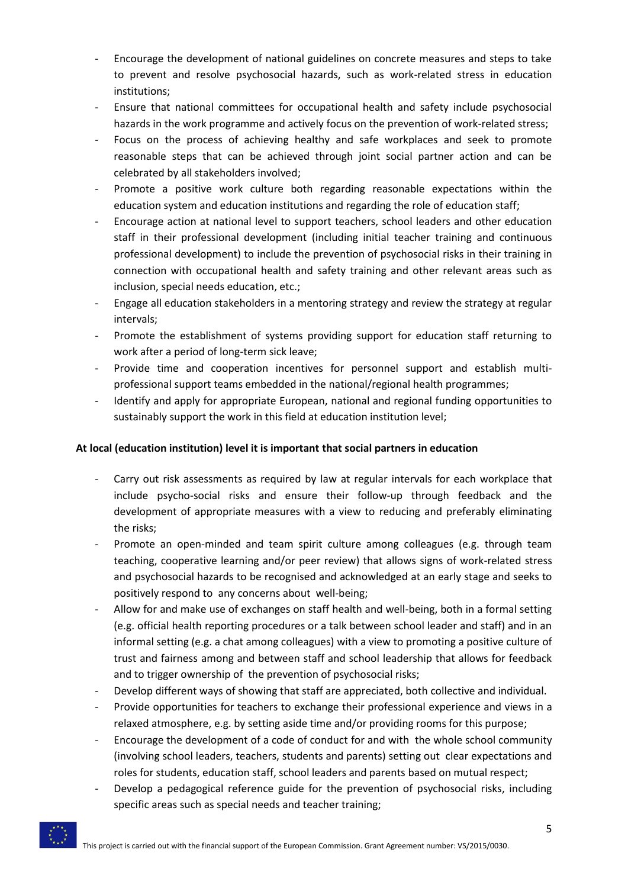- Encourage the development of national guidelines on concrete measures and steps to take to prevent and resolve psychosocial hazards, such as work-related stress in education institutions;
- Ensure that national committees for occupational health and safety include psychosocial hazards in the work programme and actively focus on the prevention of work-related stress;
- Focus on the process of achieving healthy and safe workplaces and seek to promote reasonable steps that can be achieved through joint social partner action and can be celebrated by all stakeholders involved;
- Promote a positive work culture both regarding reasonable expectations within the education system and education institutions and regarding the role of education staff;
- Encourage action at national level to support teachers, school leaders and other education staff in their professional development (including initial teacher training and continuous professional development) to include the prevention of psychosocial risks in their training in connection with occupational health and safety training and other relevant areas such as inclusion, special needs education, etc.;
- Engage all education stakeholders in a mentoring strategy and review the strategy at regular intervals;
- Promote the establishment of systems providing support for education staff returning to work after a period of long-term sick leave;
- Provide time and cooperation incentives for personnel support and establish multiprofessional support teams embedded in the national/regional health programmes;
- Identify and apply for appropriate European, national and regional funding opportunities to sustainably support the work in this field at education institution level;

## **At local (education institution) level it is important that social partners in education**

- Carry out risk assessments as required by law at regular intervals for each workplace that include psycho-social risks and ensure their follow-up through feedback and the development of appropriate measures with a view to reducing and preferably eliminating the risks;
- Promote an open-minded and team spirit culture among colleagues (e.g. through team teaching, cooperative learning and/or peer review) that allows signs of work-related stress and psychosocial hazards to be recognised and acknowledged at an early stage and seeks to positively respond to any concerns about well-being;
- Allow for and make use of exchanges on staff health and well-being, both in a formal setting (e.g. official health reporting procedures or a talk between school leader and staff) and in an informal setting (e.g. a chat among colleagues) with a view to promoting a positive culture of trust and fairness among and between staff and school leadership that allows for feedback and to trigger ownership of the prevention of psychosocial risks;
- Develop different ways of showing that staff are appreciated, both collective and individual.
- Provide opportunities for teachers to exchange their professional experience and views in a relaxed atmosphere, e.g. by setting aside time and/or providing rooms for this purpose;
- Encourage the development of a code of conduct for and with the whole school community (involving school leaders, teachers, students and parents) setting out clear expectations and roles for students, education staff, school leaders and parents based on mutual respect;
- Develop a pedagogical reference guide for the prevention of psychosocial risks, including specific areas such as special needs and teacher training;